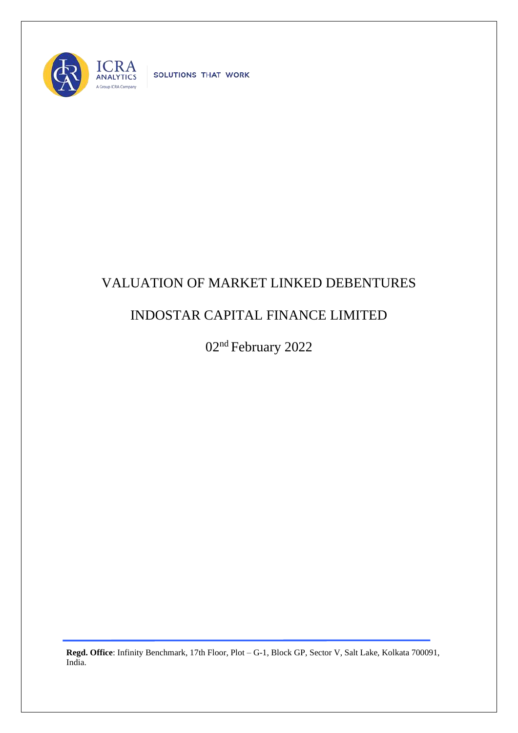

SOLUTIONS THAT WORK

## VALUATION OF MARKET LINKED DEBENTURES

## INDOSTAR CAPITAL FINANCE LIMITED

02nd February 2022

**Regd. Office**: Infinity Benchmark, 17th Floor, Plot – G-1, Block GP, Sector V, Salt Lake, Kolkata 700091, India.